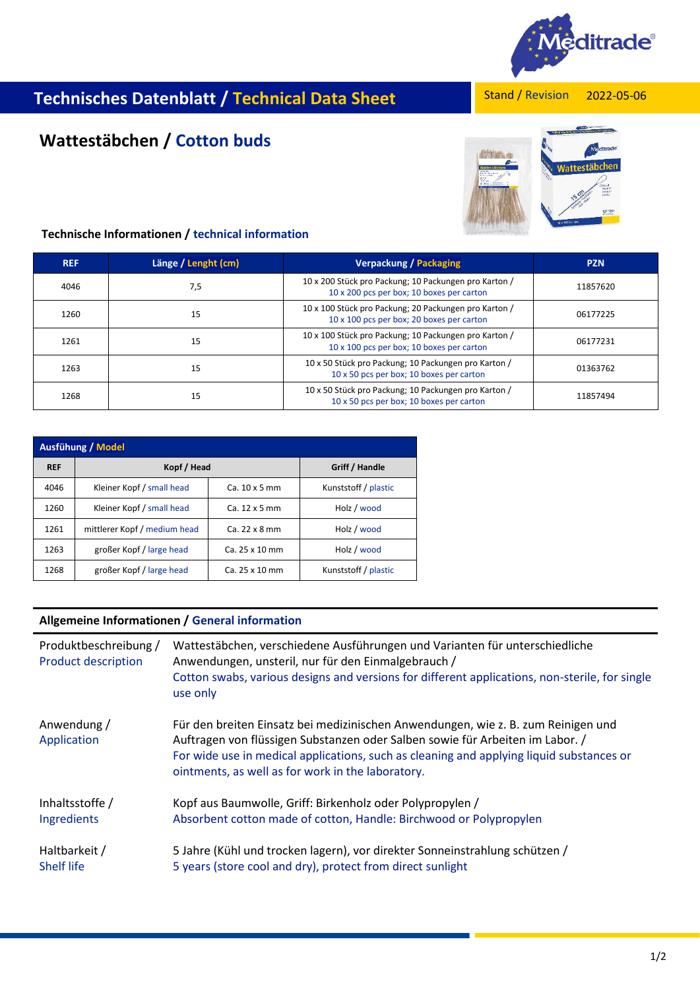

# Stand / Revision **Technisches Datenblatt / Technical Data Sheet**

#### 2022-05-06

# **Wattestäbchen / Cotton buds**



## **Technische Informationen / technical information**

| <b>REF</b> | Länge / Lenght (cm) | <b>Verpackung / Packaging</b>                                                                      | <b>PZN</b> |
|------------|---------------------|----------------------------------------------------------------------------------------------------|------------|
| 4046       | 7,5                 | 10 x 200 Stück pro Packung; 10 Packungen pro Karton /<br>10 x 200 pcs per box; 10 boxes per carton | 11857620   |
| 1260       | 15                  | 10 x 100 Stück pro Packung; 20 Packungen pro Karton /<br>10 x 100 pcs per box; 20 boxes per carton | 06177225   |
| 1261       | 15                  | 10 x 100 Stück pro Packung; 10 Packungen pro Karton /<br>10 x 100 pcs per box; 10 boxes per carton | 06177231   |
| 1263       | 15                  | 10 x 50 Stück pro Packung; 10 Packungen pro Karton /<br>10 x 50 pcs per box; 10 boxes per carton   | 01363762   |
| 1268       | 15                  | 10 x 50 Stück pro Packung; 10 Packungen pro Karton /<br>10 x 50 pcs per box; 10 boxes per carton   | 11857494   |

| Ausfühung / Model |                              |                      |                      |  |  |  |
|-------------------|------------------------------|----------------------|----------------------|--|--|--|
| <b>REF</b>        | Kopf / Head                  |                      | Griff / Handle       |  |  |  |
| 4046              | Kleiner Kopf / small head    | $Ca. 10 \times 5$ mm | Kunststoff / plastic |  |  |  |
| 1260              | Kleiner Kopf / small head    | $Ca. 12 \times 5$ mm | Holz / wood          |  |  |  |
| 1261              | mittlerer Kopf / medium head | Ca. 22 x 8 mm        | Holz / wood          |  |  |  |
| 1263              | großer Kopf / large head     | Ca. 25 x 10 mm       | Holz / wood          |  |  |  |
| 1268              | großer Kopf / large head     | Ca. 25 x 10 mm       | Kunststoff / plastic |  |  |  |

#### **Allgemeine Informationen / General information**

| Produktbeschreibung /<br><b>Product description</b> | Wattestäbchen, verschiedene Ausführungen und Varianten für unterschiedliche<br>Anwendungen, unsteril, nur für den Einmalgebrauch /<br>Cotton swabs, various designs and versions for different applications, non-sterile, for single<br>use only                                                                    |
|-----------------------------------------------------|---------------------------------------------------------------------------------------------------------------------------------------------------------------------------------------------------------------------------------------------------------------------------------------------------------------------|
| Anwendung /<br>Application                          | Für den breiten Einsatz bei medizinischen Anwendungen, wie z. B. zum Reinigen und<br>Auftragen von flüssigen Substanzen oder Salben sowie für Arbeiten im Labor. /<br>For wide use in medical applications, such as cleaning and applying liquid substances or<br>ointments, as well as for work in the laboratory. |
| Inhaltsstoffe /                                     | Kopf aus Baumwolle, Griff: Birkenholz oder Polypropylen /                                                                                                                                                                                                                                                           |
| Ingredients                                         | Absorbent cotton made of cotton, Handle: Birchwood or Polypropylen                                                                                                                                                                                                                                                  |
| Haltbarkeit /                                       | 5 Jahre (Kühl und trocken lagern), vor direkter Sonneinstrahlung schützen /                                                                                                                                                                                                                                         |
| <b>Shelf life</b>                                   | 5 years (store cool and dry), protect from direct sunlight                                                                                                                                                                                                                                                          |